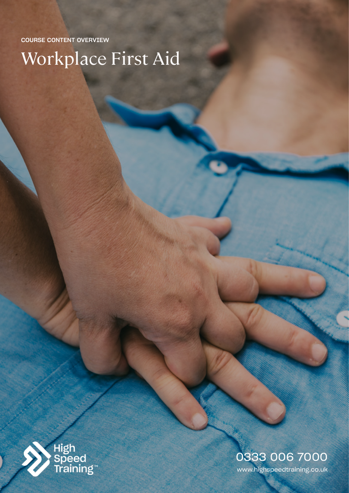COURSE CONTENT OVERVIEW

Workplace First Aid



# www.highspeedtraining.co.uk 0333 006 7000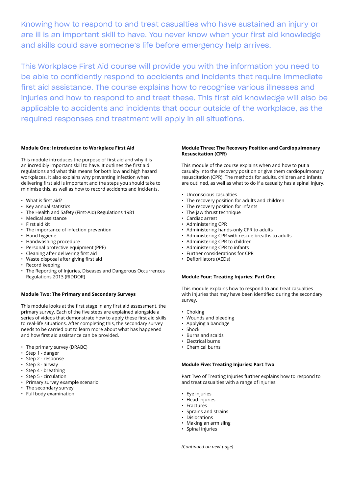Knowing how to respond to and treat casualties who have sustained an injury or are ill is an important skill to have. You never know when your first aid knowledge and skills could save someone's life before emergency help arrives.

This Workplace First Aid course will provide you with the information you need to be able to confidently respond to accidents and incidents that require immediate first aid assistance. The course explains how to recognise various illnesses and injuries and how to respond to and treat these. This first aid knowledge will also be applicable to accidents and incidents that occur outside of the workplace, as the required responses and treatment will apply in all situations.

## **Module One: Introduction to Workplace First Aid**

This module introduces the purpose of first aid and why it is an incredibly important skill to have. It outlines the first aid regulations and what this means for both low and high hazard workplaces. It also explains why preventing infection when delivering first aid is important and the steps you should take to minimise this, as well as how to record accidents and incidents.

- What is first aid?
- Key annual statistics
- The Health and Safety (First-Aid) Regulations 1981
- Medical assistance
- First aid kit
- The importance of infection prevention
- Hand hygiene
- Handwashing procedure
- Personal protective equipment (PPE)
- Cleaning after delivering first aid
- Waste disposal after giving first aid
- Record keeping
- The Reporting of Injuries, Diseases and Dangerous Occurrences Regulations 2013 (RIDDOR)

## **Module Two: The Primary and Secondary Surveys**

This module looks at the first stage in any first aid assessment, the primary survey. Each of the five steps are explained alongside a series of videos that demonstrate how to apply these first aid skills to real-life situations. After completing this, the secondary survey needs to be carried out to learn more about what has happened and how first aid assistance can be provided.

- The primary survey (DRABC)
- Step 1 danger
- Step 2 response
- Step 3 airway
- Step 4 breathing
- Step 5 circulation
- Primary survey example scenario
- The secondary survey
- Full body examination

#### **Module Three: The Recovery Position and Cardiopulmonary Resuscitation (CPR)**

This module of the course explains when and how to put a casualty into the recovery position or give them cardiopulmonary resuscitation (CPR). The methods for adults, children and infants are outlined, as well as what to do if a casualty has a spinal injury.

- Unconscious casualties
- The recovery position for adults and children
- The recovery position for infants
- The jaw thrust technique
- Cardiac arrest
- Administering CPR
- Administering hands-only CPR to adults
- Administering CPR with rescue breaths to adults
- Administering CPR to children
- Administering CPR to infants
- Further considerations for CPR
- Defibrillators (AEDs)

#### **Module Four: Treating Injuries: Part One**

This module explains how to respond to and treat casualties with injuries that may have been identified during the secondary survey.

- Choking
- Wounds and bleeding
- Applying a bandage
- Shock
- Burns and scalds
- Electrical burns
- Chemical burns

# **Module Five: Treating Injuries: Part Two**

Part Two of Treating Injuries further explains how to respond to and treat casualties with a range of injuries.

- Eye injuries
- Head injuries
- Fractures
- Sprains and strains
- Dislocations
- Making an arm sling
- Spinal injuries

*(Continued on next page)*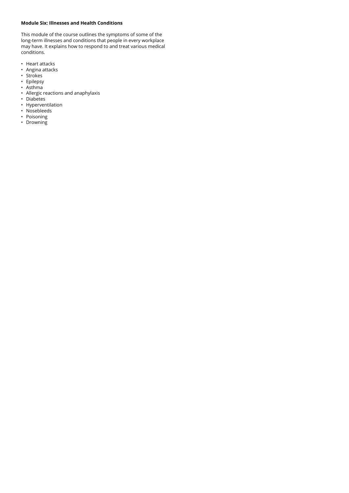# **Module Six: Illnesses and Health Conditions**

This module of the course outlines the symptoms of some of the long-term illnesses and conditions that people in every workplace may have. It explains how to respond to and treat various medical conditions.

- Heart attacks
- Angina attacks
- Strokes
- Epilepsy
- Asthma
- Allergic reactions and anaphylaxis
- Diabetes
- Hyperventilation
- Nosebleeds
- Poisoning
- Drowning